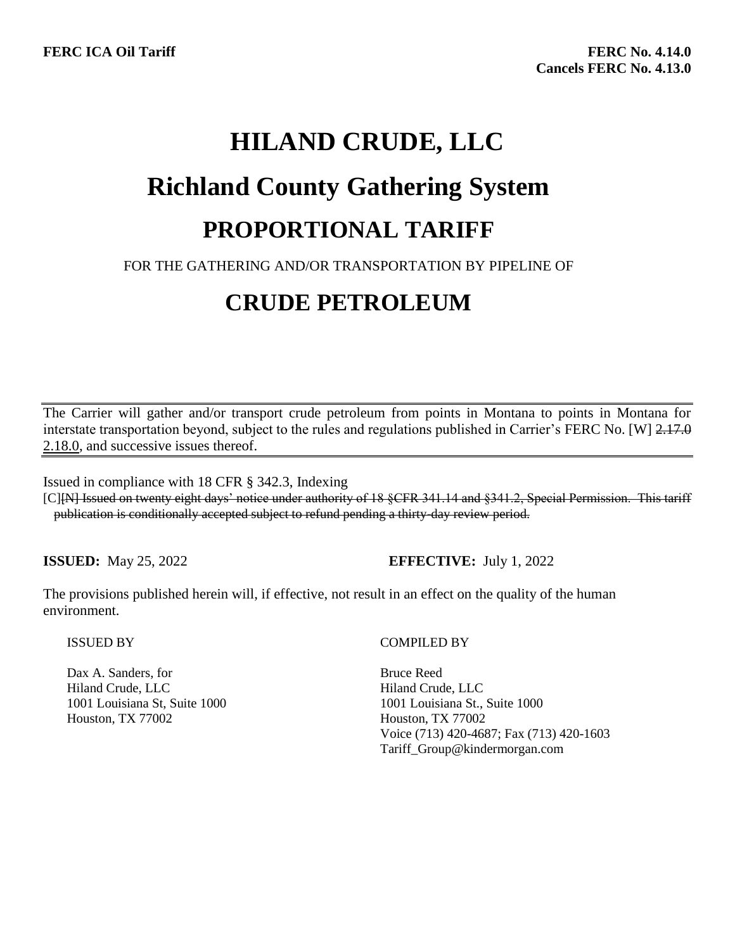# **HILAND CRUDE, LLC Richland County Gathering System PROPORTIONAL TARIFF**

### FOR THE GATHERING AND/OR TRANSPORTATION BY PIPELINE OF

# **CRUDE PETROLEUM**

The Carrier will gather and/or transport crude petroleum from points in Montana to points in Montana for interstate transportation beyond, subject to the rules and regulations published in Carrier's FERC No. [W] 2.17.0 2.18.0, and successive issues thereof.

Issued in compliance with 18 CFR § 342.3, Indexing

[C][N] Issued on twenty eight days' notice under authority of 18 §CFR 341.14 and §341.2, Special Permission. This tariff publication is conditionally accepted subject to refund pending a thirty-day review period.

**ISSUED:** May 25, 2022 **EFFECTIVE:** July 1, 2022

The provisions published herein will, if effective, not result in an effect on the quality of the human environment.

#### ISSUED BY

Dax A. Sanders, for Hiland Crude, LLC 1001 Louisiana St, Suite 1000 Houston, TX 77002

#### COMPILED BY

Bruce Reed Hiland Crude, LLC 1001 Louisiana St., Suite 1000 Houston, TX 77002 Voice (713) 420-4687; Fax (713) 420-1603 Tariff\_Group@kindermorgan.com